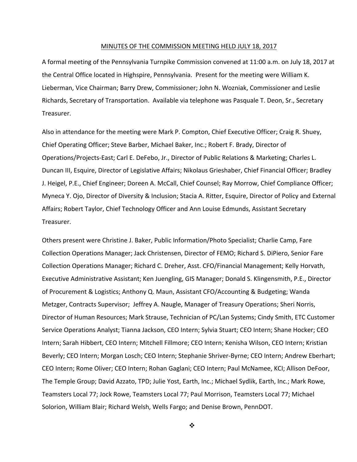#### MINUTES OF THE COMMISSION MEETING HELD JULY 18, 2017

A formal meeting of the Pennsylvania Turnpike Commission convened at 11:00 a.m. on July 18, 2017 at the Central Office located in Highspire, Pennsylvania. Present for the meeting were William K. Lieberman, Vice Chairman; Barry Drew, Commissioner; John N. Wozniak, Commissioner and Leslie Richards, Secretary of Transportation. Available via telephone was Pasquale T. Deon, Sr., Secretary Treasurer.

Also in attendance for the meeting were Mark P. Compton, Chief Executive Officer; Craig R. Shuey, Chief Operating Officer; Steve Barber, Michael Baker, Inc.; Robert F. Brady, Director of Operations/Projects‐East; Carl E. DeFebo, Jr., Director of Public Relations & Marketing; Charles L. Duncan III, Esquire, Director of Legislative Affairs; Nikolaus Grieshaber, Chief Financial Officer; Bradley J. Heigel, P.E., Chief Engineer; Doreen A. McCall, Chief Counsel; Ray Morrow, Chief Compliance Officer; Myneca Y. Ojo, Director of Diversity & Inclusion; Stacia A. Ritter, Esquire, Director of Policy and External Affairs; Robert Taylor, Chief Technology Officer and Ann Louise Edmunds, Assistant Secretary Treasurer.

Others present were Christine J. Baker, Public Information/Photo Specialist; Charlie Camp, Fare Collection Operations Manager; Jack Christensen, Director of FEMO; Richard S. DiPiero, Senior Fare Collection Operations Manager; Richard C. Dreher, Asst. CFO/Financial Management; Kelly Horvath, Executive Administrative Assistant; Ken Juengling, GIS Manager; Donald S. Klingensmith, P.E., Director of Procurement & Logistics; Anthony Q. Maun, Assistant CFO/Accounting & Budgeting; Wanda Metzger, Contracts Supervisor; Jeffrey A. Naugle, Manager of Treasury Operations; Sheri Norris, Director of Human Resources; Mark Strause, Technician of PC/Lan Systems; Cindy Smith, ETC Customer Service Operations Analyst; Tianna Jackson, CEO Intern; Sylvia Stuart; CEO Intern; Shane Hocker; CEO Intern; Sarah Hibbert, CEO Intern; Mitchell Fillmore; CEO Intern; Kenisha Wilson, CEO Intern; Kristian Beverly; CEO Intern; Morgan Losch; CEO Intern; Stephanie Shriver‐Byrne; CEO Intern; Andrew Eberhart; CEO Intern; Rome Oliver; CEO Intern; Rohan Gaglani; CEO Intern; Paul McNamee, KCI; Allison DeFoor, The Temple Group; David Azzato, TPD; Julie Yost, Earth, Inc.; Michael Sydlik, Earth, Inc.; Mark Rowe, Teamsters Local 77; Jock Rowe, Teamsters Local 77; Paul Morrison, Teamsters Local 77; Michael Solorion, William Blair; Richard Welsh, Wells Fargo; and Denise Brown, PennDOT.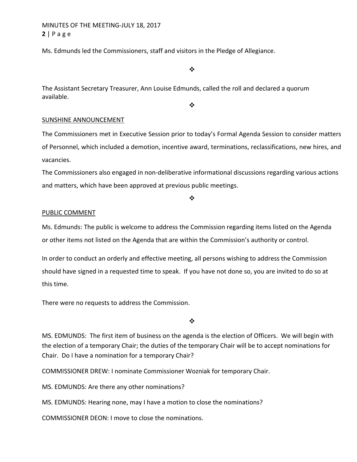MINUTES OF THE MEETING‐JULY 18, 2017 **2** | Page

Ms. Edmunds led the Commissioners, staff and visitors in the Pledge of Allegiance.

 $\frac{1}{2}$ 

The Assistant Secretary Treasurer, Ann Louise Edmunds, called the roll and declared a quorum available.

 $\cdot$ 

## SUNSHINE ANNOUNCEMENT

The Commissioners met in Executive Session prior to today's Formal Agenda Session to consider matters of Personnel, which included a demotion, incentive award, terminations, reclassifications, new hires, and vacancies.

The Commissioners also engaged in non‐deliberative informational discussions regarding various actions and matters, which have been approved at previous public meetings.

 $\frac{1}{2}$ 

### PUBLIC COMMENT

Ms. Edmunds: The public is welcome to address the Commission regarding items listed on the Agenda or other items not listed on the Agenda that are within the Commission's authority or control.

In order to conduct an orderly and effective meeting, all persons wishing to address the Commission should have signed in a requested time to speak. If you have not done so, you are invited to do so at this time.

There were no requests to address the Commission.

 $\bullet^{\bullet}_{\bullet} \bullet$ 

MS. EDMUNDS: The first item of business on the agenda is the election of Officers. We will begin with the election of a temporary Chair; the duties of the temporary Chair will be to accept nominations for Chair. Do I have a nomination for a temporary Chair?

COMMISSIONER DREW: I nominate Commissioner Wozniak for temporary Chair.

MS. EDMUNDS: Are there any other nominations?

MS. EDMUNDS: Hearing none, may I have a motion to close the nominations?

COMMISSIONER DEON: I move to close the nominations.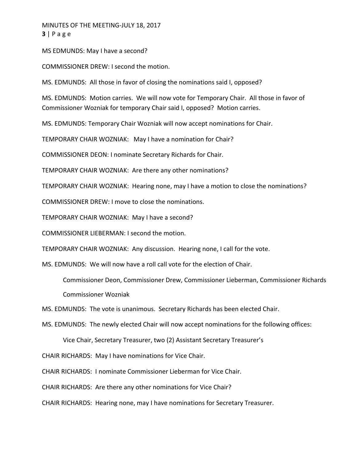MINUTES OF THE MEETING‐JULY 18, 2017 **3** | Page

MS EDMUNDS: May I have a second?

COMMISSIONER DREW: I second the motion.

MS. EDMUNDS: All those in favor of closing the nominations said I, opposed?

MS. EDMUNDS: Motion carries. We will now vote for Temporary Chair. All those in favor of Commissioner Wozniak for temporary Chair said I, opposed? Motion carries.

MS. EDMUNDS: Temporary Chair Wozniak will now accept nominations for Chair.

TEMPORARY CHAIR WOZNIAK: May I have a nomination for Chair?

COMMISSIONER DEON: I nominate Secretary Richards for Chair.

TEMPORARY CHAIR WOZNIAK: Are there any other nominations?

TEMPORARY CHAIR WOZNIAK: Hearing none, may I have a motion to close the nominations?

COMMISSIONER DREW: I move to close the nominations.

TEMPORARY CHAIR WOZNIAK: May I have a second?

COMMISSIONER LIEBERMAN: I second the motion.

TEMPORARY CHAIR WOZNIAK: Any discussion. Hearing none, I call for the vote.

MS. EDMUNDS: We will now have a roll call vote for the election of Chair.

Commissioner Deon, Commissioner Drew, Commissioner Lieberman, Commissioner Richards Commissioner Wozniak

MS. EDMUNDS: The vote is unanimous. Secretary Richards has been elected Chair.

MS. EDMUNDS: The newly elected Chair will now accept nominations for the following offices:

Vice Chair, Secretary Treasurer, two (2) Assistant Secretary Treasurer's

CHAIR RICHARDS: May I have nominations for Vice Chair.

CHAIR RICHARDS: I nominate Commissioner Lieberman for Vice Chair.

CHAIR RICHARDS: Are there any other nominations for Vice Chair?

CHAIR RICHARDS: Hearing none, may I have nominations for Secretary Treasurer.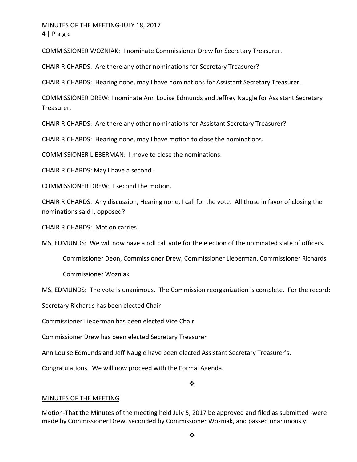MINUTES OF THE MEETING‐JULY 18, 2017 **4** | Page

COMMISSIONER WOZNIAK: I nominate Commissioner Drew for Secretary Treasurer.

CHAIR RICHARDS: Are there any other nominations for Secretary Treasurer?

CHAIR RICHARDS: Hearing none, may I have nominations for Assistant Secretary Treasurer.

COMMISSIONER DREW: I nominate Ann Louise Edmunds and Jeffrey Naugle for Assistant Secretary Treasurer.

CHAIR RICHARDS: Are there any other nominations for Assistant Secretary Treasurer?

CHAIR RICHARDS: Hearing none, may I have motion to close the nominations.

COMMISSIONER LIEBERMAN: I move to close the nominations.

CHAIR RICHARDS: May I have a second?

COMMISSIONER DREW: I second the motion.

CHAIR RICHARDS: Any discussion, Hearing none, I call for the vote. All those in favor of closing the nominations said I, opposed?

CHAIR RICHARDS: Motion carries.

MS. EDMUNDS: We will now have a roll call vote for the election of the nominated slate of officers.

Commissioner Deon, Commissioner Drew, Commissioner Lieberman, Commissioner Richards

Commissioner Wozniak

MS. EDMUNDS: The vote is unanimous. The Commission reorganization is complete. For the record:

Secretary Richards has been elected Chair

Commissioner Lieberman has been elected Vice Chair

Commissioner Drew has been elected Secretary Treasurer

Ann Louise Edmunds and Jeff Naugle have been elected Assistant Secretary Treasurer's.

Congratulations. We will now proceed with the Formal Agenda.

❖

#### MINUTES OF THE MEETING

Motion‐That the Minutes of the meeting held July 5, 2017 be approved and filed as submitted ‐were made by Commissioner Drew, seconded by Commissioner Wozniak, and passed unanimously.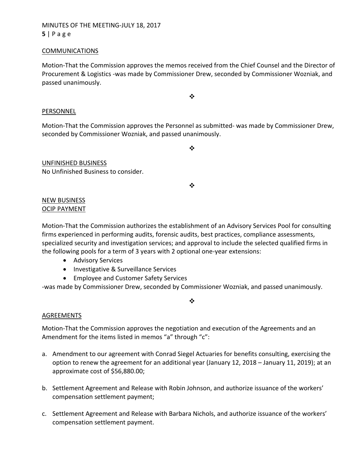# MINUTES OF THE MEETING‐JULY 18, 2017 **5** | Page

### **COMMUNICATIONS**

Motion‐That the Commission approves the memos received from the Chief Counsel and the Director of Procurement & Logistics ‐was made by Commissioner Drew, seconded by Commissioner Wozniak, and passed unanimously.

❖

#### PERSONNEL

Motion‐That the Commission approves the Personnel as submitted‐ was made by Commissioner Drew, seconded by Commissioner Wozniak, and passed unanimously.

❖

UNFINISHED BUSINESS No Unfinished Business to consider.

 $\bullet^{\bullet}_{\bullet} \bullet$ 

### NEW BUSINESS OCIP PAYMENT

Motion‐That the Commission authorizes the establishment of an Advisory Services Pool for consulting firms experienced in performing audits, forensic audits, best practices, compliance assessments, specialized security and investigation services; and approval to include the selected qualified firms in the following pools for a term of 3 years with 2 optional one‐year extensions:

- **•** Advisory Services
- Investigative & Surveillance Services
- Employee and Customer Safety Services

‐was made by Commissioner Drew, seconded by Commissioner Wozniak, and passed unanimously.

 $\cdot$ 

# AGREEMENTS

Motion‐That the Commission approves the negotiation and execution of the Agreements and an Amendment for the items listed in memos "a" through "c":

- a. Amendment to our agreement with Conrad Siegel Actuaries for benefits consulting, exercising the option to renew the agreement for an additional year (January 12, 2018 – January 11, 2019); at an approximate cost of \$56,880.00;
- b. Settlement Agreement and Release with Robin Johnson, and authorize issuance of the workers' compensation settlement payment;
- c. Settlement Agreement and Release with Barbara Nichols, and authorize issuance of the workers' compensation settlement payment.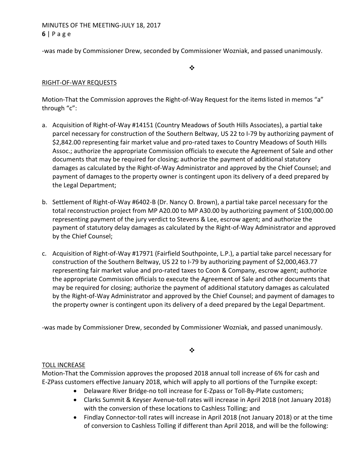# MINUTES OF THE MEETING‐JULY 18, 2017 **6** | Page

‐was made by Commissioner Drew, seconded by Commissioner Wozniak, and passed unanimously.

 $\cdot$ 

### RIGHT‐OF‐WAY REQUESTS

Motion-That the Commission approves the Right-of-Way Request for the items listed in memos "a" through "c":

- a. Acquisition of Right-of-Way #14151 (Country Meadows of South Hills Associates), a partial take parcel necessary for construction of the Southern Beltway, US 22 to I‐79 by authorizing payment of \$2,842.00 representing fair market value and pro‐rated taxes to Country Meadows of South Hills Assoc.; authorize the appropriate Commission officials to execute the Agreement of Sale and other documents that may be required for closing; authorize the payment of additional statutory damages as calculated by the Right‐of‐Way Administrator and approved by the Chief Counsel; and payment of damages to the property owner is contingent upon its delivery of a deed prepared by the Legal Department;
- b. Settlement of Right‐of‐Way #6402‐B (Dr. Nancy O. Brown), a partial take parcel necessary for the total reconstruction project from MP A20.00 to MP A30.00 by authorizing payment of \$100,000.00 representing payment of the jury verdict to Stevens & Lee, escrow agent; and authorize the payment of statutory delay damages as calculated by the Right‐of‐Way Administrator and approved by the Chief Counsel;
- c. Acquisition of Right‐of‐Way #17971 (Fairfield Southpointe, L.P.), a partial take parcel necessary for construction of the Southern Beltway, US 22 to I‐79 by authorizing payment of \$2,000,463.77 representing fair market value and pro‐rated taxes to Coon & Company, escrow agent; authorize the appropriate Commission officials to execute the Agreement of Sale and other documents that may be required for closing; authorize the payment of additional statutory damages as calculated by the Right‐of‐Way Administrator and approved by the Chief Counsel; and payment of damages to the property owner is contingent upon its delivery of a deed prepared by the Legal Department.

‐was made by Commissioner Drew, seconded by Commissioner Wozniak, and passed unanimously.

 $\bullet^{\bullet}_{\bullet} \bullet$ 

### TOLL INCREASE

Motion‐That the Commission approves the proposed 2018 annual toll increase of 6% for cash and E‐ZPass customers effective January 2018, which will apply to all portions of the Turnpike except:

- Delaware River Bridge‐no toll increase for E‐Zpass or Toll‐By‐Plate customers;
- Clarks Summit & Keyser Avenue-toll rates will increase in April 2018 (not January 2018) with the conversion of these locations to Cashless Tolling; and
- Findlay Connector‐toll rates will increase in April 2018 (not January 2018) or at the time of conversion to Cashless Tolling if different than April 2018, and will be the following: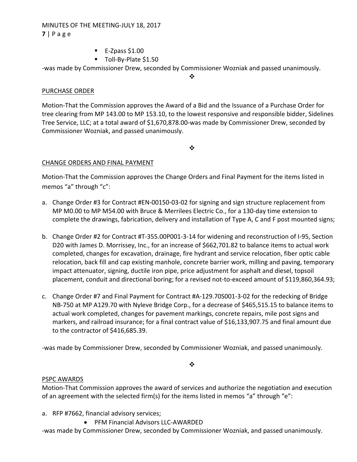## MINUTES OF THE MEETING‐JULY 18, 2017 **7** | Page

- $\blacksquare$  E-Zpass \$1.00
- Toll-By-Plate \$1.50

‐was made by Commissioner Drew, seconded by Commissioner Wozniak and passed unanimously.

 $\frac{1}{2}$ 

## PURCHASE ORDER

Motion‐That the Commission approves the Award of a Bid and the Issuance of a Purchase Order for tree clearing from MP 143.00 to MP 153.10, to the lowest responsive and responsible bidder, Sidelines Tree Service, LLC; at a total award of \$1,670,878.00‐was made by Commissioner Drew, seconded by Commissioner Wozniak, and passed unanimously.

 $\cdot$ 

## CHANGE ORDERS AND FINAL PAYMENT

Motion‐That the Commission approves the Change Orders and Final Payment for the items listed in memos "a" through "c":

- a. Change Order #3 for Contract #EN‐00150‐03‐02 for signing and sign structure replacement from MP M0.00 to MP M54.00 with Bruce & Merrilees Electric Co., for a 130‐day time extension to complete the drawings, fabrication, delivery and installation of Type A, C and F post mounted signs;
- b. Change Order #2 for Contract #T‐355.00P001‐3‐14 for widening and reconstruction of I‐95, Section D20 with James D. Morrissey, Inc., for an increase of \$662,701.82 to balance items to actual work completed, changes for excavation, drainage, fire hydrant and service relocation, fiber optic cable relocation, back fill and cap existing manhole, concrete barrier work, milling and paving, temporary impact attenuator, signing, ductile iron pipe, price adjustment for asphalt and diesel, topsoil placement, conduit and directional boring; for a revised not‐to‐exceed amount of \$119,860,364.93;
- c. Change Order #7 and Final Payment for Contract #A‐129.70S001‐3‐02 for the redecking of Bridge NB‐750 at MP A129.70 with Nyleve Bridge Corp., for a decrease of \$465,515.15 to balance items to actual work completed, changes for pavement markings, concrete repairs, mile post signs and markers, and railroad insurance; for a final contract value of \$16,133,907.75 and final amount due to the contractor of \$416,685.39.

‐was made by Commissioner Drew, seconded by Commissioner Wozniak, and passed unanimously.

 $\bullet^{\bullet}_{\bullet} \bullet$ 

### PSPC AWARDS

Motion‐That Commission approves the award of services and authorize the negotiation and execution of an agreement with the selected firm(s) for the items listed in memos "a" through "e":

- a. RFP #7662, financial advisory services;
	- PFM Financial Advisors LLC-AWARDED

‐was made by Commissioner Drew, seconded by Commissioner Wozniak, and passed unanimously.